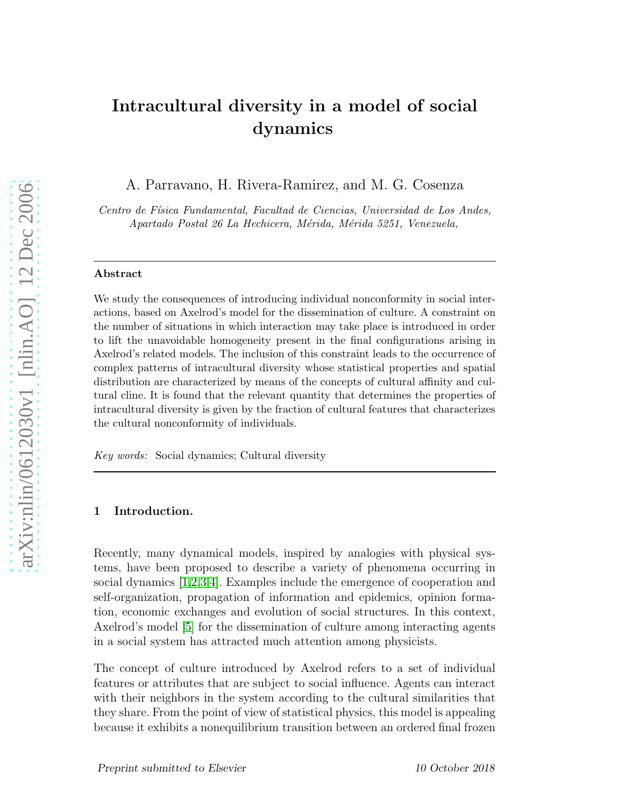# Intracultural diversity in a model of social dynamics

A. Parravano, H. Rivera-Ramirez, and M. G. Cosenza

Centro de Física Fundamental, Facultad de Ciencias, Universidad de Los Andes, Apartado Postal 26 La Hechicera, Mérida, Mérida 5251, Venezuela,

#### Abstract

We study the consequences of introducing individual nonconformity in social interactions, based on Axelrod's model for the dissemination of culture. A constraint on the number of situations in which interaction may take place is introduced in order to lift the unavoidable homogeneity present in the final configurations arising in Axelrod's related models. The inclusion of this constraint leads to the occurrence of complex patterns of intracultural diversity whose statistical properties and spatial distribution are characterized by means of the concepts of cultural affinity and cultural cline. It is found that the relevant quantity that determines the properties of intracultural diversity is given by the fraction of cultural features that characterizes the cultural nonconformity of individuals.

Key words: Social dynamics; Cultural diversity

# 1 Introduction.

Recently, many dynamical models, inspired by analogies with physical systems, have been proposed to describe a variety of phenomena occurring in social dynamics [\[1](#page-6-0)[,2,](#page-6-1)[3,](#page-6-2)[4\]](#page-6-3). Examples include the emergence of cooperation and self-organization, propagation of information and epidemics, opinion formation, economic exchanges and evolution of social structures. In this context, Axelrod's model [\[5\]](#page-6-4) for the dissemination of culture among interacting agents in a social system has attracted much attention among physicists.

The concept of culture introduced by Axelrod refers to a set of individual features or attributes that are subject to social influence. Agents can interact with their neighbors in the system according to the cultural similarities that they share. From the point of view of statistical physics, this model is appealing because it exhibits a nonequilibrium transition between an ordered final frozen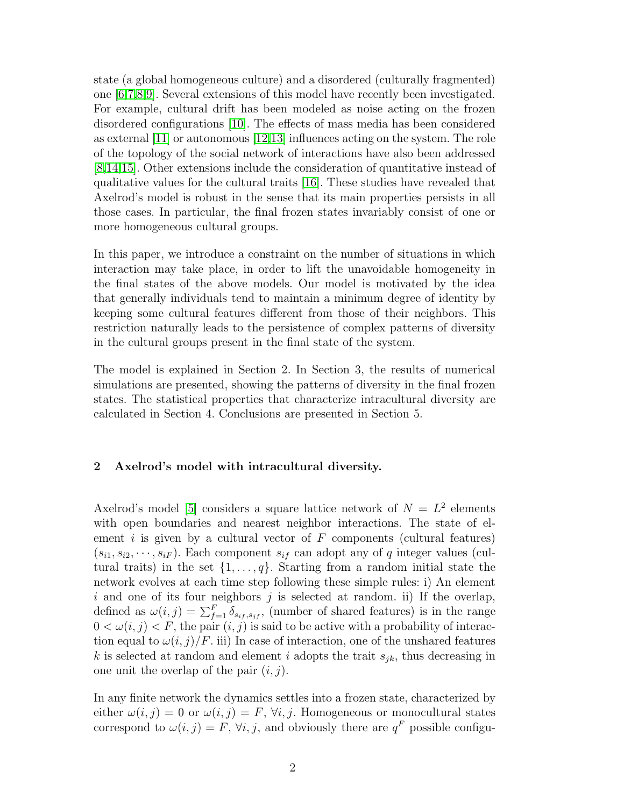state (a global homogeneous culture) and a disordered (culturally fragmented) one [\[6](#page-6-5)[,7](#page-6-6)[,8,](#page-6-7)[9\]](#page-6-8). Several extensions of this model have recently been investigated. For example, cultural drift has been modeled as noise acting on the frozen disordered configurations [\[10\]](#page-6-9). The effects of mass media has been considered as external [\[11\]](#page-6-10) or autonomous [\[12,](#page-6-11)[13\]](#page-6-12) influences acting on the system. The role of the topology of the social network of interactions have also been addressed [\[8](#page-6-7)[,14](#page-6-13)[,15\]](#page-6-14). Other extensions include the consideration of quantitative instead of qualitative values for the cultural traits [\[16\]](#page-6-15). These studies have revealed that Axelrod's model is robust in the sense that its main properties persists in all those cases. In particular, the final frozen states invariably consist of one or more homogeneous cultural groups.

In this paper, we introduce a constraint on the number of situations in which interaction may take place, in order to lift the unavoidable homogeneity in the final states of the above models. Our model is motivated by the idea that generally individuals tend to maintain a minimum degree of identity by keeping some cultural features different from those of their neighbors. This restriction naturally leads to the persistence of complex patterns of diversity in the cultural groups present in the final state of the system.

The model is explained in Section 2. In Section 3, the results of numerical simulations are presented, showing the patterns of diversity in the final frozen states. The statistical properties that characterize intracultural diversity are calculated in Section 4. Conclusions are presented in Section 5.

# 2 Axelrod's model with intracultural diversity.

Axelrod's model [\[5\]](#page-6-4) considers a square lattice network of  $N = L^2$  elements with open boundaries and nearest neighbor interactions. The state of element i is given by a cultural vector of  $F$  components (cultural features)  $(s_{i1}, s_{i2}, \dots, s_{iF})$ . Each component  $s_{if}$  can adopt any of q integer values (cultural traits) in the set  $\{1, \ldots, q\}$ . Starting from a random initial state the network evolves at each time step following these simple rules: i) An element i and one of its four neighbors j is selected at random. ii) If the overlap, defined as  $\omega(i,j) = \sum_{f=1}^{F} \delta_{s_{if},s_{jf}},$  (number of shared features) is in the range  $0 < \omega(i, j) < F$ , the pair  $(i, j)$  is said to be active with a probability of interaction equal to  $\omega(i, j)/F$ . iii) In case of interaction, one of the unshared features k is selected at random and element i adopts the trait  $s_{ik}$ , thus decreasing in one unit the overlap of the pair  $(i, j)$ .

In any finite network the dynamics settles into a frozen state, characterized by either  $\omega(i, j) = 0$  or  $\omega(i, j) = F$ ,  $\forall i, j$ . Homogeneous or monocultural states correspond to  $\omega(i, j) = F$ ,  $\forall i, j$ , and obviously there are  $q^F$  possible configu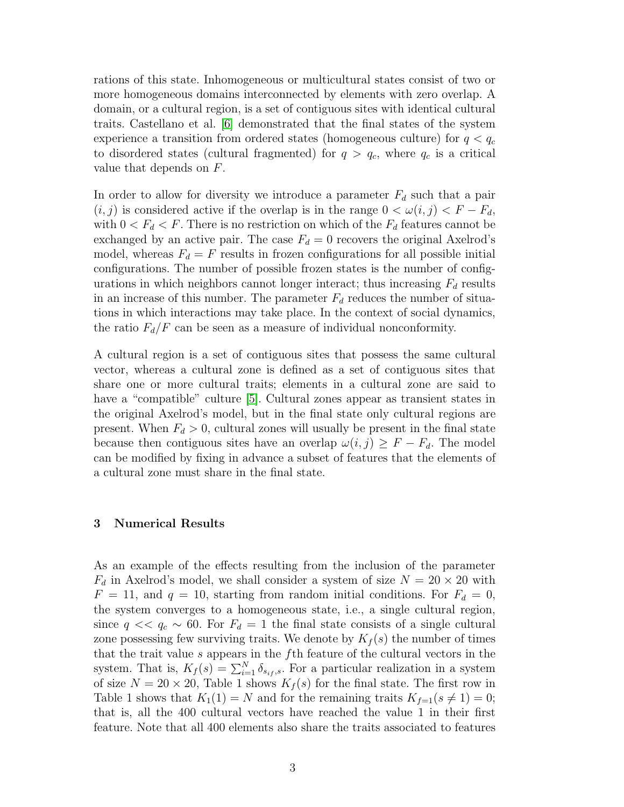rations of this state. Inhomogeneous or multicultural states consist of two or more homogeneous domains interconnected by elements with zero overlap. A domain, or a cultural region, is a set of contiguous sites with identical cultural traits. Castellano et al. [\[6\]](#page-6-5) demonstrated that the final states of the system experience a transition from ordered states (homogeneous culture) for  $q < q_c$ to disordered states (cultural fragmented) for  $q > q_c$ , where  $q_c$  is a critical value that depends on F.

In order to allow for diversity we introduce a parameter  $F_d$  such that a pair  $(i, j)$  is considered active if the overlap is in the range  $0 < \omega(i, j) < F - F_d$ , with  $0 < F_d < F$ . There is no restriction on which of the  $F_d$  features cannot be exchanged by an active pair. The case  $F_d = 0$  recovers the original Axelrod's model, whereas  $F_d = F$  results in frozen configurations for all possible initial configurations. The number of possible frozen states is the number of configurations in which neighbors cannot longer interact; thus increasing  $F<sub>d</sub>$  results in an increase of this number. The parameter  $F_d$  reduces the number of situations in which interactions may take place. In the context of social dynamics, the ratio  $F_d/F$  can be seen as a measure of individual nonconformity.

A cultural region is a set of contiguous sites that possess the same cultural vector, whereas a cultural zone is defined as a set of contiguous sites that share one or more cultural traits; elements in a cultural zone are said to have a "compatible" culture [\[5\]](#page-6-4). Cultural zones appear as transient states in the original Axelrod's model, but in the final state only cultural regions are present. When  $F_d > 0$ , cultural zones will usually be present in the final state because then contiguous sites have an overlap  $\omega(i, j) \geq F - F_d$ . The model can be modified by fixing in advance a subset of features that the elements of a cultural zone must share in the final state.

#### 3 Numerical Results

As an example of the effects resulting from the inclusion of the parameter  $F_d$  in Axelrod's model, we shall consider a system of size  $N = 20 \times 20$  with  $F = 11$ , and  $q = 10$ , starting from random initial conditions. For  $F<sub>d</sub> = 0$ , the system converges to a homogeneous state, i.e., a single cultural region, since  $q \ll q_c \sim 60$ . For  $F_d = 1$  the final state consists of a single cultural zone possessing few surviving traits. We denote by  $K_f(s)$  the number of times that the trait value s appears in the fth feature of the cultural vectors in the system. That is,  $K_f(s) = \sum_{i=1}^{N} \delta_{s_i,s}$ . For a particular realization in a system of size  $N = 20 \times 20$ , Table 1 shows  $K_f(s)$  for the final state. The first row in Table 1 shows that  $K_1(1) = N$  and for the remaining traits  $K_{f=1}(s \neq 1) = 0$ ; that is, all the 400 cultural vectors have reached the value 1 in their first feature. Note that all 400 elements also share the traits associated to features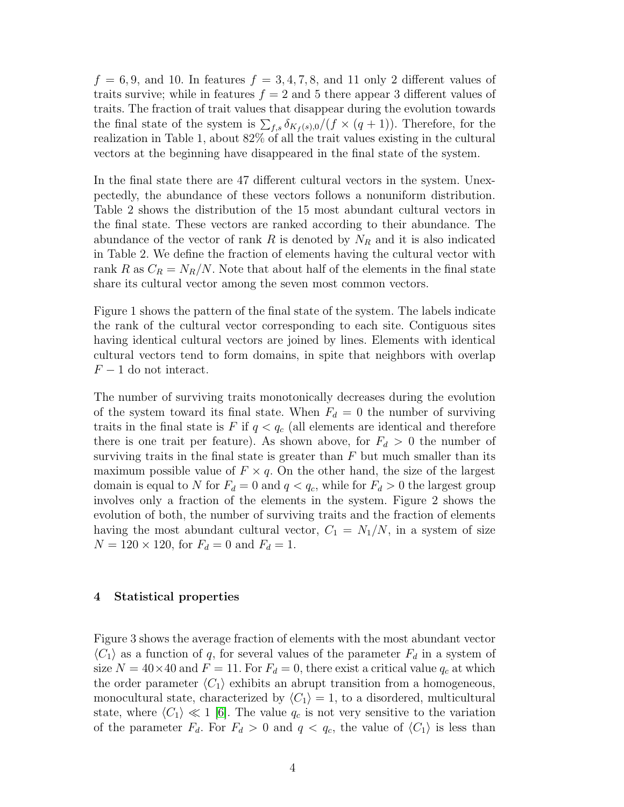$f = 6, 9$ , and 10. In features  $f = 3, 4, 7, 8$ , and 11 only 2 different values of traits survive; while in features  $f = 2$  and 5 there appear 3 different values of traits. The fraction of trait values that disappear during the evolution towards the final state of the system is  $\sum_{f,s} \delta_{K_f(s),0}/(f \times (q+1))$ . Therefore, for the realization in Table 1, about 82% of all the trait values existing in the cultural vectors at the beginning have disappeared in the final state of the system.

In the final state there are 47 different cultural vectors in the system. Unexpectedly, the abundance of these vectors follows a nonuniform distribution. Table 2 shows the distribution of the 15 most abundant cultural vectors in the final state. These vectors are ranked according to their abundance. The abundance of the vector of rank R is denoted by  $N_R$  and it is also indicated in Table 2. We define the fraction of elements having the cultural vector with rank R as  $C_R = N_R/N$ . Note that about half of the elements in the final state share its cultural vector among the seven most common vectors.

Figure 1 shows the pattern of the final state of the system. The labels indicate the rank of the cultural vector corresponding to each site. Contiguous sites having identical cultural vectors are joined by lines. Elements with identical cultural vectors tend to form domains, in spite that neighbors with overlap  $F-1$  do not interact.

The number of surviving traits monotonically decreases during the evolution of the system toward its final state. When  $F_d = 0$  the number of surviving traits in the final state is F if  $q < q_c$  (all elements are identical and therefore there is one trait per feature). As shown above, for  $F_d > 0$  the number of surviving traits in the final state is greater than  $F$  but much smaller than its maximum possible value of  $F \times q$ . On the other hand, the size of the largest domain is equal to N for  $F_d = 0$  and  $q < q_c$ , while for  $F_d > 0$  the largest group involves only a fraction of the elements in the system. Figure 2 shows the evolution of both, the number of surviving traits and the fraction of elements having the most abundant cultural vector,  $C_1 = N_1/N$ , in a system of size  $N = 120 \times 120$ , for  $F_d = 0$  and  $F_d = 1$ .

# 4 Statistical properties

Figure 3 shows the average fraction of elements with the most abundant vector  $\langle C_1 \rangle$  as a function of q, for several values of the parameter  $F_d$  in a system of size  $N = 40 \times 40$  and  $F = 11$ . For  $F_d = 0$ , there exist a critical value  $q_c$  at which the order parameter  $\langle C_1 \rangle$  exhibits an abrupt transition from a homogeneous, monocultural state, characterized by  $\langle C_1 \rangle = 1$ , to a disordered, multicultural state, where  $\langle C_1 \rangle \ll 1$  [\[6\]](#page-6-5). The value  $q_c$  is not very sensitive to the variation of the parameter  $F_d$ . For  $F_d > 0$  and  $q < q_c$ , the value of  $\langle C_1 \rangle$  is less than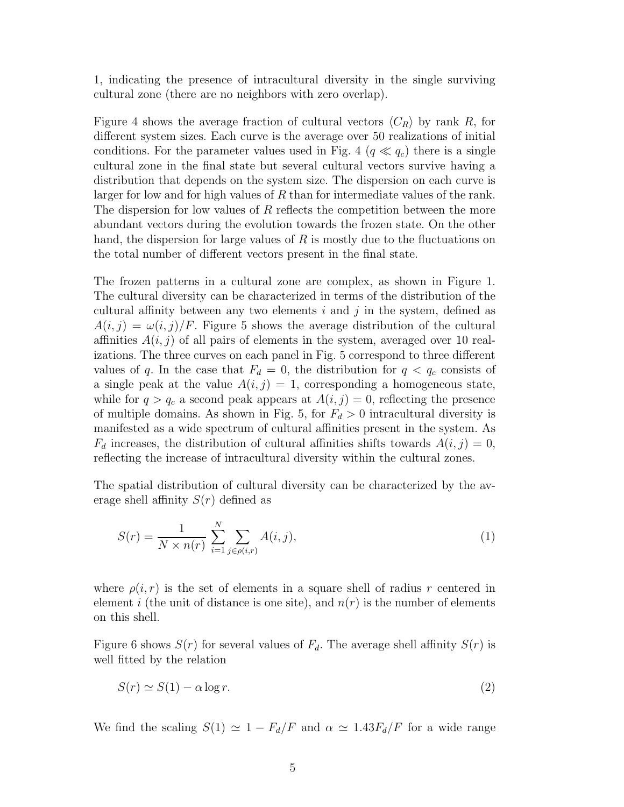1, indicating the presence of intracultural diversity in the single surviving cultural zone (there are no neighbors with zero overlap).

Figure 4 shows the average fraction of cultural vectors  $\langle C_R \rangle$  by rank R, for different system sizes. Each curve is the average over 50 realizations of initial conditions. For the parameter values used in Fig. 4  $(q \ll q_c)$  there is a single cultural zone in the final state but several cultural vectors survive having a distribution that depends on the system size. The dispersion on each curve is larger for low and for high values of R than for intermediate values of the rank. The dispersion for low values of  $R$  reflects the competition between the more abundant vectors during the evolution towards the frozen state. On the other hand, the dispersion for large values of  $R$  is mostly due to the fluctuations on the total number of different vectors present in the final state.

The frozen patterns in a cultural zone are complex, as shown in Figure 1. The cultural diversity can be characterized in terms of the distribution of the cultural affinity between any two elements  $i$  and  $j$  in the system, defined as  $A(i, j) = \omega(i, j)/F$ . Figure 5 shows the average distribution of the cultural affinities  $A(i, j)$  of all pairs of elements in the system, averaged over 10 realizations. The three curves on each panel in Fig. 5 correspond to three different values of q. In the case that  $F_d = 0$ , the distribution for  $q < q_c$  consists of a single peak at the value  $A(i, j) = 1$ , corresponding a homogeneous state, while for  $q > q_c$  a second peak appears at  $A(i, j) = 0$ , reflecting the presence of multiple domains. As shown in Fig. 5, for  $F_d > 0$  intracultural diversity is manifested as a wide spectrum of cultural affinities present in the system. As  $F_d$  increases, the distribution of cultural affinities shifts towards  $A(i, j) = 0$ , reflecting the increase of intracultural diversity within the cultural zones.

The spatial distribution of cultural diversity can be characterized by the average shell affinity  $S(r)$  defined as

$$
S(r) = \frac{1}{N \times n(r)} \sum_{i=1}^{N} \sum_{j \in \rho(i,r)} A(i,j),
$$
 (1)

where  $\rho(i, r)$  is the set of elements in a square shell of radius r centered in element i (the unit of distance is one site), and  $n(r)$  is the number of elements on this shell.

Figure 6 shows  $S(r)$  for several values of  $F<sub>d</sub>$ . The average shell affinity  $S(r)$  is well fitted by the relation

$$
S(r) \simeq S(1) - \alpha \log r. \tag{2}
$$

We find the scaling  $S(1) \simeq 1 - F_d/F$  and  $\alpha \simeq 1.43F_d/F$  for a wide range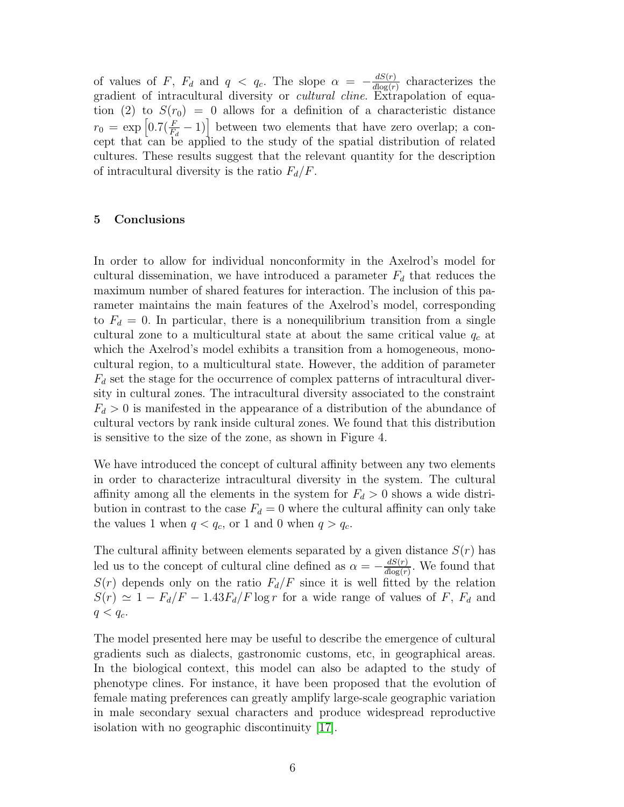of values of F,  $F_d$  and  $q < q_c$ . The slope  $\alpha = -\frac{dS(r)}{d\log(r)}$  $\frac{dS(r)}{d\log(r)}$  characterizes the gradient of intracultural diversity or *cultural cline*. Extrapolation of equation (2) to  $S(r_0) = 0$  allows for a definition of a characteristic distance  $r_0 = \exp\left[0.7(\frac{F}{F_d}-1)\right]$  between two elements that have zero overlap; a concept that can be applied to the study of the spatial distribution of related cultures. These results suggest that the relevant quantity for the description of intracultural diversity is the ratio  $F_d/F$ .

# 5 Conclusions

In order to allow for individual nonconformity in the Axelrod's model for cultural dissemination, we have introduced a parameter  $F_d$  that reduces the maximum number of shared features for interaction. The inclusion of this parameter maintains the main features of the Axelrod's model, corresponding to  $F_d = 0$ . In particular, there is a nonequilibrium transition from a single cultural zone to a multicultural state at about the same critical value  $q_c$  at which the Axelrod's model exhibits a transition from a homogeneous, monocultural region, to a multicultural state. However, the addition of parameter  $F_d$  set the stage for the occurrence of complex patterns of intracultural diversity in cultural zones. The intracultural diversity associated to the constraint  $F_d > 0$  is manifested in the appearance of a distribution of the abundance of cultural vectors by rank inside cultural zones. We found that this distribution is sensitive to the size of the zone, as shown in Figure 4.

We have introduced the concept of cultural affinity between any two elements in order to characterize intracultural diversity in the system. The cultural affinity among all the elements in the system for  $F_d > 0$  shows a wide distribution in contrast to the case  $F_d = 0$  where the cultural affinity can only take the values 1 when  $q < q_c$ , or 1 and 0 when  $q > q_c$ .

The cultural affinity between elements separated by a given distance  $S(r)$  has led us to the concept of cultural cline defined as  $\alpha = -\frac{dS(r)}{d\log(r)}$  $\frac{dS(r)}{d\log(r)}$ . We found that  $S(r)$  depends only on the ratio  $F_d/F$  since it is well fitted by the relation  $S(r) \simeq 1 - F_d/F - 1.43F_d/F \log r$  for a wide range of values of F,  $F_d$  and  $q < q_c$ .

The model presented here may be useful to describe the emergence of cultural gradients such as dialects, gastronomic customs, etc, in geographical areas. In the biological context, this model can also be adapted to the study of phenotype clines. For instance, it have been proposed that the evolution of female mating preferences can greatly amplify large-scale geographic variation in male secondary sexual characters and produce widespread reproductive isolation with no geographic discontinuity [\[17\]](#page-6-16).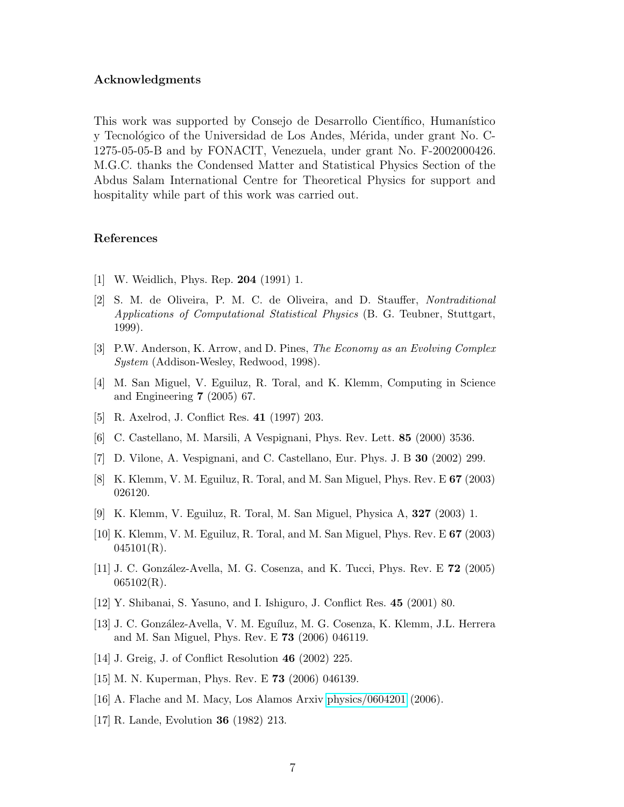### Acknowledgments

This work was supported by Consejo de Desarrollo Científico, Humanístico y Tecnológico of the Universidad de Los Andes, Mérida, under grant No. C-1275-05-05-B and by FONACIT, Venezuela, under grant No. F-2002000426. M.G.C. thanks the Condensed Matter and Statistical Physics Section of the Abdus Salam International Centre for Theoretical Physics for support and hospitality while part of this work was carried out.

# References

- <span id="page-6-1"></span><span id="page-6-0"></span>[1] W. Weidlich, Phys. Rep. 204 (1991) 1.
- [2] S. M. de Oliveira, P. M. C. de Oliveira, and D. Stauffer, Nontraditional Applications of Computational Statistical Physics (B. G. Teubner, Stuttgart, 1999).
- <span id="page-6-3"></span><span id="page-6-2"></span>[3] P.W. Anderson, K. Arrow, and D. Pines, The Economy as an Evolving Complex System (Addison-Wesley, Redwood, 1998).
- <span id="page-6-4"></span>[4] M. San Miguel, V. Eguiluz, R. Toral, and K. Klemm, Computing in Science and Engineering 7 (2005) 67.
- <span id="page-6-5"></span>[5] R. Axelrod, J. Conflict Res. 41 (1997) 203.
- <span id="page-6-6"></span>[6] C. Castellano, M. Marsili, A Vespignani, Phys. Rev. Lett. 85 (2000) 3536.
- <span id="page-6-7"></span>[7] D. Vilone, A. Vespignani, and C. Castellano, Eur. Phys. J. B 30 (2002) 299.
- <span id="page-6-8"></span>[8] K. Klemm, V. M. Eguiluz, R. Toral, and M. San Miguel, Phys. Rev. E 67 (2003) 026120.
- <span id="page-6-9"></span>[9] K. Klemm, V. Eguiluz, R. Toral, M. San Miguel, Physica A, 327 (2003) 1.
- <span id="page-6-10"></span>[10] K. Klemm, V. M. Eguiluz, R. Toral, and M. San Miguel, Phys. Rev. E 67 (2003)  $045101(R)$ .
- <span id="page-6-11"></span>[11] J. C. González-Avella, M. G. Cosenza, and K. Tucci, Phys. Rev. E **72** (2005)  $065102(R)$ .
- <span id="page-6-12"></span>[12] Y. Shibanai, S. Yasuno, and I. Ishiguro, J. Conflict Res. 45 (2001) 80.
- [13] J. C. Gonz´alez-Avella, V. M. Egu´ıluz, M. G. Cosenza, K. Klemm, J.L. Herrera and M. San Miguel, Phys. Rev. E 73 (2006) 046119.
- <span id="page-6-14"></span><span id="page-6-13"></span>[14] J. Greig, J. of Conflict Resolution 46 (2002) 225.
- <span id="page-6-15"></span>[15] M. N. Kuperman, Phys. Rev. E 73 (2006) 046139.
- <span id="page-6-16"></span>[16] A. Flache and M. Macy, Los Alamos Arxiv [physics/0604201](http://arxiv.org/abs/physics/0604201) (2006).
- [17] R. Lande, Evolution 36 (1982) 213.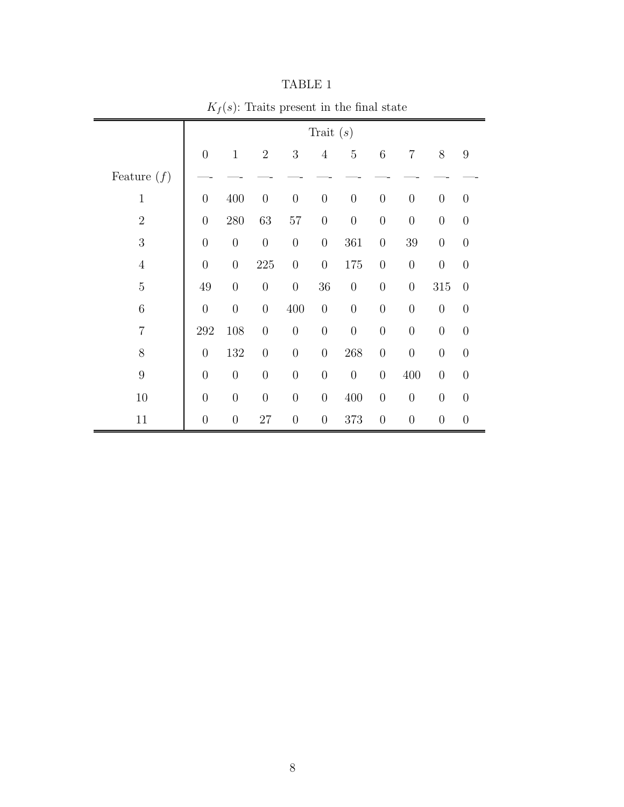|                |                  | $\cdot$ $\cdot$  |                  |                  |                  |                  |                  |                  |                  |                |  |
|----------------|------------------|------------------|------------------|------------------|------------------|------------------|------------------|------------------|------------------|----------------|--|
|                | Trait $(s)$      |                  |                  |                  |                  |                  |                  |                  |                  |                |  |
|                | $\theta$         | $\mathbf{1}$     | $\overline{2}$   | 3                | $\overline{4}$   | $\overline{5}$   | 6                | $\overline{7}$   | 8                | 9              |  |
| Feature $(f)$  |                  |                  |                  |                  |                  |                  |                  |                  |                  |                |  |
| $\mathbf{1}$   | $\boldsymbol{0}$ | 400              | $\boldsymbol{0}$ | $\boldsymbol{0}$ | $\overline{0}$   | $\boldsymbol{0}$ | $\boldsymbol{0}$ | $\overline{0}$   | $\theta$         | $\overline{0}$ |  |
| $\overline{2}$ | $\overline{0}$   | $280\,$          | 63               | $57\,$           | $\boldsymbol{0}$ | $\boldsymbol{0}$ | $\boldsymbol{0}$ | $\overline{0}$   | $\boldsymbol{0}$ | $\overline{0}$ |  |
| 3              | $\overline{0}$   | $\boldsymbol{0}$ | $\boldsymbol{0}$ | $\boldsymbol{0}$ | $\overline{0}$   | 361              | $\overline{0}$   | $39\,$           | $\theta$         | $\theta$       |  |
| $\overline{4}$ | $\overline{0}$   | $\theta$         | $225\,$          | $\boldsymbol{0}$ | $\overline{0}$   | 175              | $\overline{0}$   | $\overline{0}$   | $\overline{0}$   | $\overline{0}$ |  |
| $\overline{5}$ | 49               | $\boldsymbol{0}$ | $\boldsymbol{0}$ | $\boldsymbol{0}$ | 36               | $\boldsymbol{0}$ | $\overline{0}$   | $\overline{0}$   | $315\,$          | $\overline{0}$ |  |
| $\,6$          | $\theta$         | $\boldsymbol{0}$ | $\boldsymbol{0}$ | 400              | $\boldsymbol{0}$ | $\overline{0}$   | $\overline{0}$   | $\overline{0}$   | $\theta$         | $\overline{0}$ |  |
| $\overline{7}$ | 292              | 108              | $\boldsymbol{0}$ | $\boldsymbol{0}$ | $\boldsymbol{0}$ | $\boldsymbol{0}$ | $\boldsymbol{0}$ | $\boldsymbol{0}$ | $\boldsymbol{0}$ | $\overline{0}$ |  |
| 8              | $\overline{0}$   | 132              | $\overline{0}$   | $\overline{0}$   | $\overline{0}$   | 268              | $\overline{0}$   | $\overline{0}$   | $\overline{0}$   | $\theta$       |  |
| $9\phantom{.}$ | $\overline{0}$   | $\boldsymbol{0}$ | $\boldsymbol{0}$ | $\overline{0}$   | $\overline{0}$   | $\boldsymbol{0}$ | $\overline{0}$   | 400              | $\theta$         | $\overline{0}$ |  |
| $10\,$         | $\theta$         | $\boldsymbol{0}$ | $\boldsymbol{0}$ | $\boldsymbol{0}$ | $\boldsymbol{0}$ | 400              | $\boldsymbol{0}$ | $\boldsymbol{0}$ | $\overline{0}$   | $\overline{0}$ |  |
| 11             | $\theta$         | $\boldsymbol{0}$ | $27\,$           | $\overline{0}$   | $\overline{0}$   | 373              | $\overline{0}$   | $\boldsymbol{0}$ | $\overline{0}$   | $\overline{0}$ |  |

TABLE 1  $K_f(s)$ : Traits present in the final state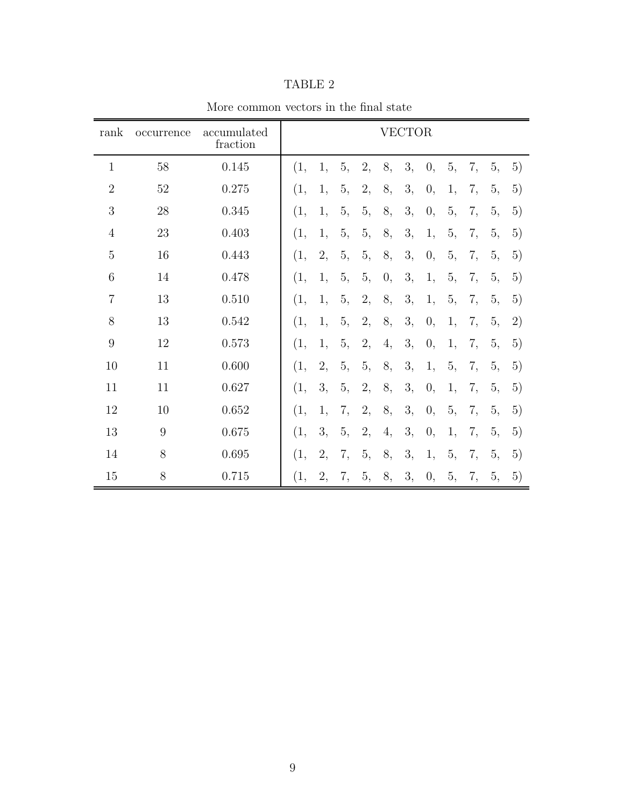| rank             | occurrence | accumulated<br>fraction | <b>VECTOR</b> |    |    |    |    |    |    |    |    |    |    |
|------------------|------------|-------------------------|---------------|----|----|----|----|----|----|----|----|----|----|
| $\mathbf{1}$     | 58         | 0.145                   | (1,           | 1, | 5, | 2, | 8, | 3, | 0, | 5, | 7, | 5, | 5) |
| $\overline{2}$   | 52         | 0.275                   | (1,           | 1, | 5, | 2, | 8, | 3, | 0, | 1, | 7, | 5, | 5) |
| 3                | 28         | 0.345                   | (1,           | 1, | 5, | 5, | 8, | 3, | 0, | 5, | 7, | 5, | 5) |
| $\overline{4}$   | 23         | 0.403                   | (1,           | 1, | 5, | 5, | 8, | 3, | 1, | 5, | 7, | 5, | 5) |
| $\overline{5}$   | 16         | 0.443                   | (1,           | 2, | 5, | 5, | 8, | 3, | 0, | 5, | 7, | 5, | 5) |
| 6                | 14         | 0.478                   | (1,           | 1, | 5, | 5, | 0, | 3, | 1, | 5, | 7, | 5, | 5) |
| $\overline{7}$   | 13         | 0.510                   | (1,           | 1, | 5, | 2, | 8, | 3, | 1, | 5, | 7, | 5, | 5) |
| 8                | 13         | 0.542                   | (1,           | 1, | 5, | 2, | 8, | 3, | 0, | 1, | 7, | 5, | 2) |
| $\boldsymbol{9}$ | 12         | 0.573                   | (1,           | 1, | 5, | 2, | 4, | 3, | 0, | 1, | 7, | 5, | 5) |
| 10               | 11         | 0.600                   | (1,           | 2, | 5, | 5, | 8, | 3, | 1, | 5, | 7, | 5, | 5) |
| 11               | 11         | 0.627                   | (1,           | 3, | 5, | 2, | 8, | 3, | 0, | 1, | 7, | 5, | 5) |
| 12               | 10         | 0.652                   | (1,           | 1, | 7, | 2, | 8, | 3, | 0, | 5, | 7, | 5, | 5) |
| 13               | 9          | 0.675                   | (1,           | 3, | 5, | 2, | 4, | 3, | 0, | 1, | 7, | 5, | 5) |
| 14               | 8          | 0.695                   | (1,           | 2, | 7, | 5, | 8, | 3, | 1, | 5, | 7, | 5, | 5) |
| 15               | 8          | 0.715                   | (1,           | 2, | 7, | 5, | 8, | 3, | 0, | 5, | 7, | 5, | 5) |

TABLE 2

More common vectors in the final state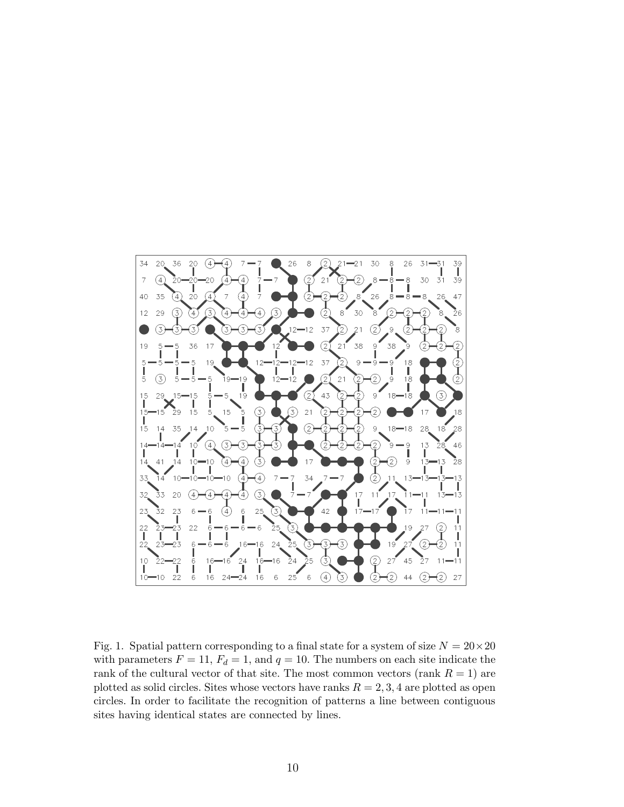

Fig. 1. Spatial pattern corresponding to a final state for a system of size  $N = 20 \times 20$ with parameters  $F = 11$ ,  $F_d = 1$ , and  $q = 10$ . The numbers on each site indicate the rank of the cultural vector of that site. The most common vectors (rank  $R = 1$ ) are plotted as solid circles. Sites whose vectors have ranks  $R = 2, 3, 4$  are plotted as open circles. In order to facilitate the recognition of patterns a line between contiguous sites having identical states are connected by lines.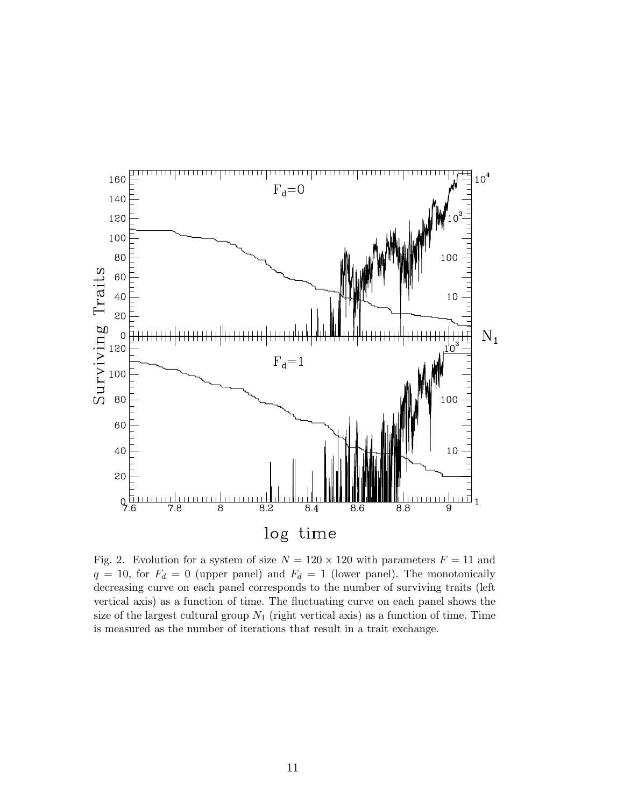

Fig. 2. Evolution for a system of size  $N = 120 \times 120$  with parameters  $F = 11$  and  $q = 10$ , for  $F<sub>d</sub> = 0$  (upper panel) and  $F<sub>d</sub> = 1$  (lower panel). The monotonically decreasing curve on each panel corresponds to the number of surviving traits (left vertical axis) as a function of time. The fluctuating curve on each panel shows the size of the largest cultural group  $N_1$  (right vertical axis) as a function of time. Time is measured as the number of iterations that result in a trait exchange.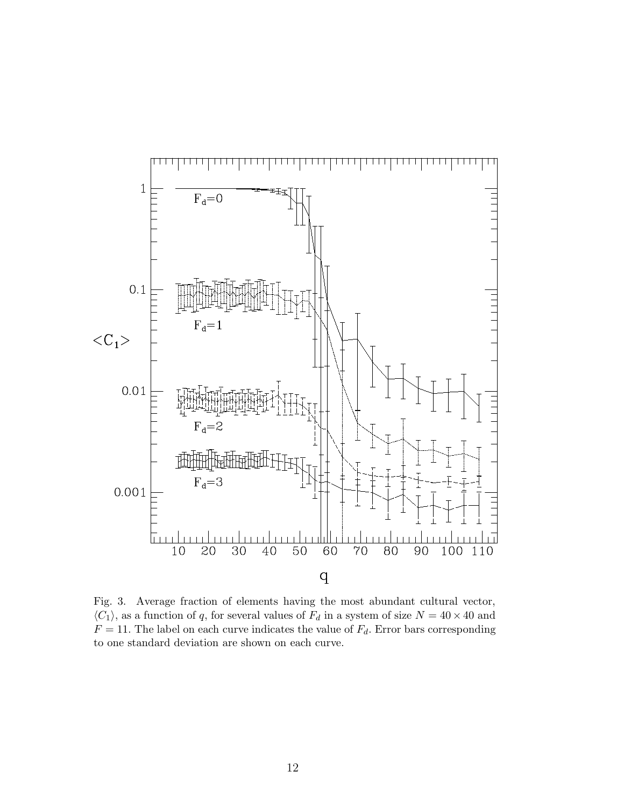

Fig. 3. Average fraction of elements having the most abundant cultural vector,  $\langle C_1 \rangle$ , as a function of q, for several values of  $F_d$  in a system of size  $N = 40 \times 40$  and  $F = 11$ . The label on each curve indicates the value of  $F<sub>d</sub>$ . Error bars corresponding to one standard deviation are shown on each curve.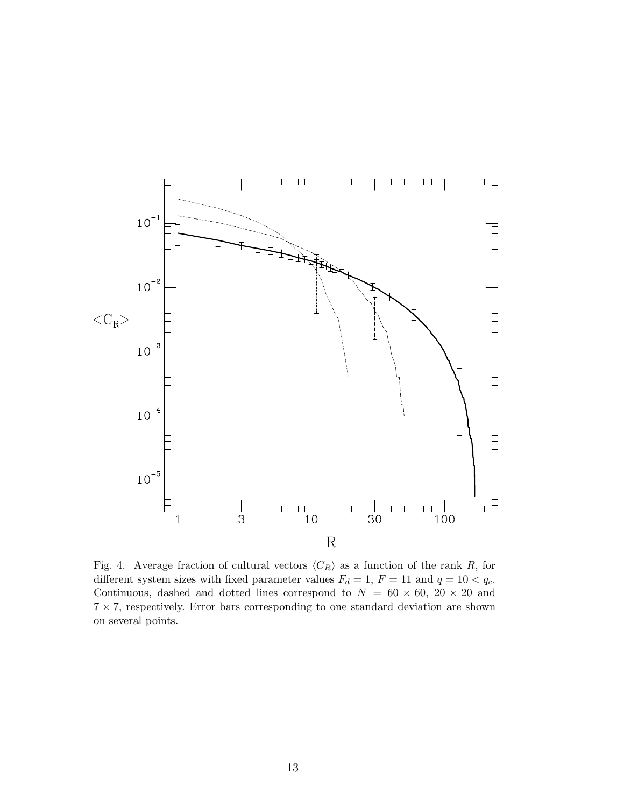

Fig. 4. Average fraction of cultural vectors  $\langle C_R \rangle$  as a function of the rank R, for different system sizes with fixed parameter values  $F_d = 1, F = 11$  and  $q = 10 < q_c$ . Continuous, dashed and dotted lines correspond to  $N = 60 \times 60$ ,  $20 \times 20$  and  $7 \times 7$ , respectively. Error bars corresponding to one standard deviation are shown on several points.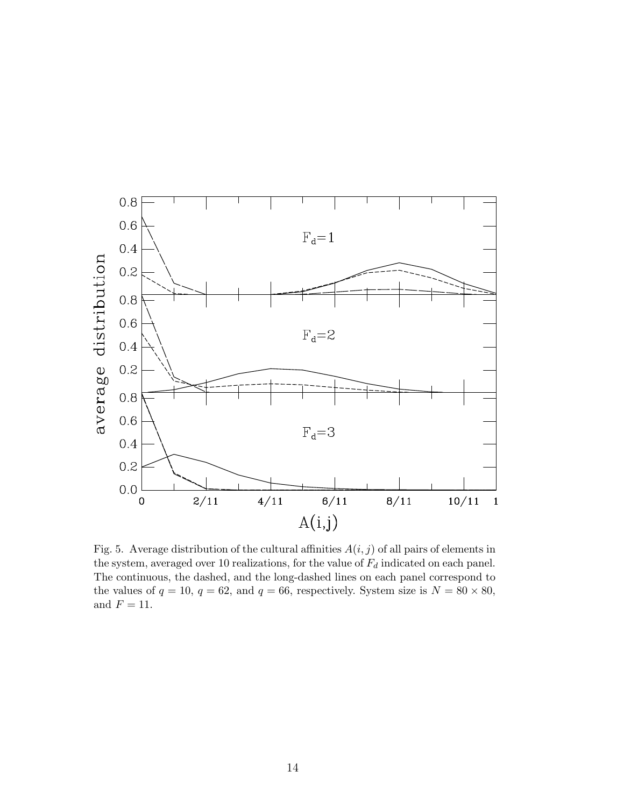

Fig. 5. Average distribution of the cultural affinities  $A(i, j)$  of all pairs of elements in the system, averaged over 10 realizations, for the value of  $F_d$  indicated on each panel. The continuous, the dashed, and the long-dashed lines on each panel correspond to the values of  $q = 10$ ,  $q = 62$ , and  $q = 66$ , respectively. System size is  $N = 80 \times 80$ , and  $F = 11$ .